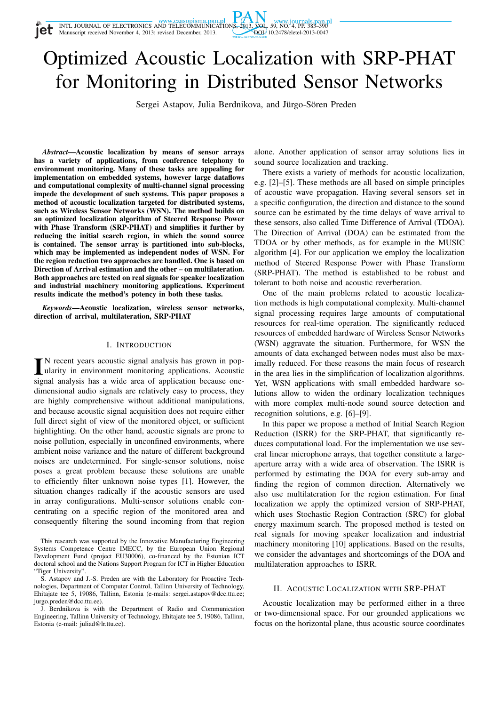INTL JOURNAL OF ELECTRONICS AND TELECOMMUNICATIONS, 2013, VOL. 59, NO. 4, PP. 383–390<br>Manuscript received November 4, 2013; revised December, 2013. DOI: 10.2478/eletel-2013-0047



Sergei Astapov, Julia Berdnikova, and Jürgo-Sören Preden

*Abstract*—Acoustic localization by means of sensor arrays has a variety of applications, from conference telephony to environment monitoring. Many of these tasks are appealing for implementation on embedded systems, however large dataflows and computational complexity of multi-channel signal processing impede the development of such systems. This paper proposes a method of acoustic localization targeted for distributed systems, such as Wireless Sensor Networks (WSN). The method builds on an optimized localization algorithm of Steered Response Power with Phase Transform (SRP-PHAT) and simplifies it further by reducing the initial search region, in which the sound source is contained. The sensor array is partitioned into sub-blocks, which may be implemented as independent nodes of WSN. For the region reduction two approaches are handled. One is based on Direction of Arrival estimation and the other – on multilateration. Both approaches are tested on real signals for speaker localization and industrial machinery monitoring applications. Experiment results indicate the method's potency in both these tasks.

*Keywords*—Acoustic localization, wireless sensor networks, direction of arrival, multilateration, SRP-PHAT

## I. INTRODUCTION

IN recent years acoustic signal analysis has grown in popularity in environment monitoring applications. Acoustic signal analysis has a wide area of application because one-N recent years acoustic signal analysis has grown in popularity in environment monitoring applications. Acoustic dimensional audio signals are relatively easy to process, they are highly comprehensive without additional manipulations, and because acoustic signal acquisition does not require either full direct sight of view of the monitored object, or sufficient highlighting. On the other hand, acoustic signals are prone to noise pollution, especially in unconfined environments, where ambient noise variance and the nature of different background noises are undetermined. For single-sensor solutions, noise poses a great problem because these solutions are unable to efficiently filter unknown noise types [1]. However, the situation changes radically if the acoustic sensors are used in array configurations. Multi-sensor solutions enable concentrating on a specific region of the monitored area and consequently filtering the sound incoming from that region

This research was supported by the Innovative Manufacturing Engineering Systems Competence Centre IMECC, by the European Union Regional Development Fund (project EU30006), co-financed by the Estonian ICT doctoral school and the Nations Support Program for ICT in Higher Education "Tiger University".

alone. Another application of sensor array solutions lies in sound source localization and tracking.

There exists a variety of methods for acoustic localization, e.g. [2]–[5]. These methods are all based on simple principles of acoustic wave propagation. Having several sensors set in a specific configuration, the direction and distance to the sound source can be estimated by the time delays of wave arrival to these sensors, also called Time Difference of Arrival (TDOA). The Direction of Arrival (DOA) can be estimated from the TDOA or by other methods, as for example in the MUSIC algorithm [4]. For our application we employ the localization method of Steered Response Power with Phase Transform (SRP-PHAT). The method is established to be robust and tolerant to both noise and acoustic reverberation.

One of the main problems related to acoustic localization methods is high computational complexity. Multi-channel signal processing requires large amounts of computational resources for real-time operation. The significantly reduced resources of embedded hardware of Wireless Sensor Networks (WSN) aggravate the situation. Furthermore, for WSN the amounts of data exchanged between nodes must also be maximally reduced. For these reasons the main focus of research in the area lies in the simplification of localization algorithms. Yet, WSN applications with small embedded hardware solutions allow to widen the ordinary localization techniques with more complex multi-node sound source detection and recognition solutions, e.g. [6]–[9].

In this paper we propose a method of Initial Search Region Reduction (ISRR) for the SRP-PHAT, that significantly reduces computational load. For the implementation we use several linear microphone arrays, that together constitute a largeaperture array with a wide area of observation. The ISRR is performed by estimating the DOA for every sub-array and finding the region of common direction. Alternatively we also use multilateration for the region estimation. For final localization we apply the optimized version of SRP-PHAT, which uses Stochastic Region Contraction (SRC) for global energy maximum search. The proposed method is tested on real signals for moving speaker localization and industrial machinery monitoring [10] applications. Based on the results, we consider the advantages and shortcomings of the DOA and multilateration approaches to ISRR.

#### II. ACOUSTIC LOCALIZATION WITH SRP-PHAT

Acoustic localization may be performed either in a three or two-dimensional space. For our grounded applications we focus on the horizontal plane, thus acoustic source coordinates

S. Astapov and J.-S. Preden are with the Laboratory for Proactive Technologies, Department of Computer Control, Tallinn University of Technology, Ehitajate tee 5, 19086, Tallinn, Estonia (e-mails: sergei.astapov@dcc.ttu.ee; jurgo.preden@dcc.ttu.ee).

J. Berdnikova is with the Department of Radio and Communication Engineering, Tallinn University of Technology, Ehitajate tee 5, 19086, Tallinn, Estonia (e-mail: juliad@lr.ttu.ee).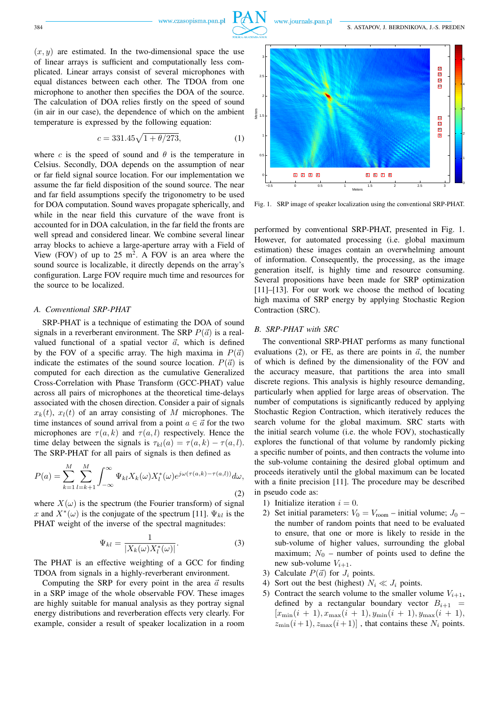

 $(x, y)$  are estimated. In the two-dimensional space the use of linear arrays is sufficient and computationally less complicated. Linear arrays consist of several microphones with equal distances between each other. The TDOA from one microphone to another then specifies the DOA of the source. The calculation of DOA relies firstly on the speed of sound (in air in our case), the dependence of which on the ambient temperature is expressed by the following equation:

$$
c = 331.45\sqrt{1 + \theta/273},\tag{1}
$$

where c is the speed of sound and  $\theta$  is the temperature in Celsius. Secondly, DOA depends on the assumption of near or far field signal source location. For our implementation we assume the far field disposition of the sound source. The near and far field assumptions specify the trigonometry to be used for DOA computation. Sound waves propagate spherically, and while in the near field this curvature of the wave front is accounted for in DOA calculation, in the far field the fronts are well spread and considered linear. We combine several linear array blocks to achieve a large-aperture array with a Field of View (FOV) of up to  $25 \text{ m}^2$ . A FOV is an area where the sound source is localizable, it directly depends on the array's configuration. Large FOV require much time and resources for the source to be localized.

#### *A. Conventional SRP-PHAT*

SRP-PHAT is a technique of estimating the DOA of sound signals in a reverberant environment. The SRP  $P(\vec{a})$  is a realvalued functional of a spatial vector  $\vec{a}$ , which is defined by the FOV of a specific array. The high maxima in  $P(\vec{a})$ indicate the estimates of the sound source location.  $P(\vec{a})$  is computed for each direction as the cumulative Generalized Cross-Correlation with Phase Transform (GCC-PHAT) value across all pairs of microphones at the theoretical time-delays associated with the chosen direction. Consider a pair of signals  $x_k(t)$ ,  $x_l(t)$  of an array consisting of M microphones. The time instances of sound arrival from a point  $a \in \vec{a}$  for the two microphones are  $\tau(a, k)$  and  $\tau(a, l)$  respectively. Hence the time delay between the signals is  $\tau_{kl}(a) = \tau(a, k) - \tau(a, l)$ . The SRP-PHAT for all pairs of signals is then defined as

$$
P(a) = \sum_{k=1}^{M} \sum_{l=k+1}^{M} \int_{-\infty}^{\infty} \Psi_{kl} X_k(\omega) X_l^*(\omega) e^{j\omega(\tau(a,k) - \tau(a,l))} d\omega,
$$
\n(2)

where  $X(\omega)$  is the spectrum (the Fourier transform) of signal x and  $X^*(\omega)$  is the conjugate of the spectrum [11].  $\Psi_{kl}$  is the PHAT weight of the inverse of the spectral magnitudes:

$$
\Psi_{kl} = \frac{1}{|X_k(\omega)X_l^*(\omega)|}.
$$
\n(3)

The PHAT is an effective weighting of a GCC for finding TDOA from signals in a highly-reverberant environment.

Computing the SRP for every point in the area  $\vec{a}$  results in a SRP image of the whole observable FOV. These images are highly suitable for manual analysis as they portray signal energy distributions and reverberation effects very clearly. For example, consider a result of speaker localization in a room



Fig. 1. SRP image of speaker localization using the conventional SRP-PHAT.

performed by conventional SRP-PHAT, presented in Fig. 1. However, for automated processing (i.e. global maximum estimation) these images contain an overwhelming amount of information. Consequently, the processing, as the image generation itself, is highly time and resource consuming. Several propositions have been made for SRP optimization [11]–[13]. For our work we choose the method of locating high maxima of SRP energy by applying Stochastic Region Contraction (SRC).

# *B. SRP-PHAT with SRC*

The conventional SRP-PHAT performs as many functional evaluations (2), or FE, as there are points in  $\vec{a}$ , the number of which is defined by the dimensionality of the FOV and the accuracy measure, that partitions the area into small discrete regions. This analysis is highly resource demanding, particularly when applied for large areas of observation. The number of computations is significantly reduced by applying Stochastic Region Contraction, which iteratively reduces the search volume for the global maximum. SRC starts with the initial search volume (i.e. the whole FOV), stochastically explores the functional of that volume by randomly picking a specific number of points, and then contracts the volume into the sub-volume containing the desired global optimum and proceeds iteratively until the global maximum can be located with a finite precision [11]. The procedure may be described in pseudo code as:

- 1) Initialize iteration  $i = 0$ .
- 2) Set initial parameters:  $V_0 = V_{\text{room}} \text{initial volume}; J_0$ the number of random points that need to be evaluated to ensure, that one or more is likely to reside in the sub-volume of higher values, surrounding the global maximum;  $N_0$  – number of points used to define the new sub-volume  $V_{i+1}$ .
- 3) Calculate  $P(\vec{a})$  for  $J_i$  points.
- 4) Sort out the best (highest)  $N_i \ll J_i$  points.
- 5) Contract the search volume to the smaller volume  $V_{i+1}$ , defined by a rectangular boundary vector  $B_{i+1}$  =  $[x_{\min}(i + 1), x_{\max}(i + 1), y_{\min}(i + 1), y_{\max}(i + 1)]$  $z_{\min}(i+1), z_{\max}(i+1)]$ , that contains these  $N_i$  points.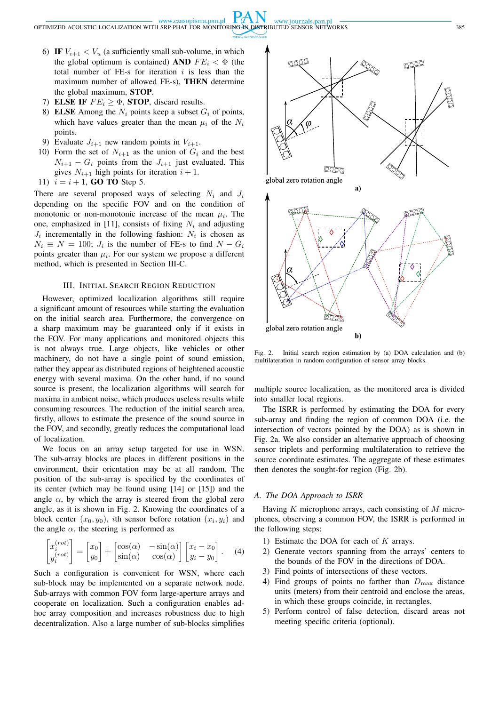PA N www.czasopisma.pan.pl www.journals.pan.pl

OPTIMIZED ACOUSTIC LOCALIZATION WITH SRP-PHAT FOR MONITORING IN DISTRIBUTED SENSOR NETWORKS 385

- 6) IF  $V_{i+1} < V_u$  (a sufficiently small sub-volume, in which the global optimum is contained) AND  $FE_i < \Phi$  (the total number of FE-s for iteration  $i$  is less than the maximum number of allowed FE-s), THEN determine the global maximum, STOP.
- 7) ELSE IF  $FE_i \geq \Phi$ , STOP, discard results.
- 8) ELSE Among the  $N_i$  points keep a subset  $G_i$  of points, which have values greater than the mean  $\mu_i$  of the  $N_i$ points.
- 9) Evaluate  $J_{i+1}$  new random points in  $V_{i+1}$ .
- 10) Form the set of  $N_{i+1}$  as the union of  $G_i$  and the best  $N_{i+1} - G_i$  points from the  $J_{i+1}$  just evaluated. This gives  $N_{i+1}$  high points for iteration  $i + 1$ .
- 11)  $i = i + 1$ , **GO TO** Step 5.

There are several proposed ways of selecting  $N_i$  and  $J_i$ depending on the specific FOV and on the condition of monotonic or non-monotonic increase of the mean  $\mu_i$ . The one, emphasized in [11], consists of fixing  $N_i$  and adjusting  $J_i$  incrementally in the following fashion:  $N_i$  is chosen as  $N_i \equiv N = 100$ ;  $J_i$  is the number of FE-s to find  $N - G_i$ points greater than  $\mu_i$ . For our system we propose a different method, which is presented in Section III-C.

## III. INITIAL SEARCH REGION REDUCTION

However, optimized localization algorithms still require a significant amount of resources while starting the evaluation on the initial search area. Furthermore, the convergence on a sharp maximum may be guaranteed only if it exists in the FOV. For many applications and monitored objects this is not always true. Large objects, like vehicles or other machinery, do not have a single point of sound emission, rather they appear as distributed regions of heightened acoustic energy with several maxima. On the other hand, if no sound source is present, the localization algorithms will search for maxima in ambient noise, which produces useless results while consuming resources. The reduction of the initial search area, firstly, allows to estimate the presence of the sound source in the FOV, and secondly, greatly reduces the computational load of localization.

We focus on an array setup targeted for use in WSN. The sub-array blocks are places in different positions in the environment, their orientation may be at all random. The position of the sub-array is specified by the coordinates of its center (which may be found using [14] or [15]) and the angle  $\alpha$ , by which the array is steered from the global zero angle, as it is shown in Fig. 2. Knowing the coordinates of a block center  $(x_0, y_0)$ , *i*th sensor before rotation  $(x_i, y_i)$  and the angle  $\alpha$ , the steering is performed as

$$
\begin{bmatrix} x_i^{(rot)} \\ y_i^{(rot)} \end{bmatrix} = \begin{bmatrix} x_0 \\ y_0 \end{bmatrix} + \begin{bmatrix} \cos(\alpha) & -\sin(\alpha) \\ \sin(\alpha) & \cos(\alpha) \end{bmatrix} \begin{bmatrix} x_i - x_0 \\ y_i - y_0 \end{bmatrix}.
$$
 (4)

Such a configuration is convenient for WSN, where each sub-block may be implemented on a separate network node. Sub-arrays with common FOV form large-aperture arrays and cooperate on localization. Such a configuration enables adhoc array composition and increases robustness due to high decentralization. Also a large number of sub-blocks simplifies



Fig. 2. Initial search region estimation by (a) DOA calculation and (b) multilateration in random configuration of sensor array blocks.

multiple source localization, as the monitored area is divided into smaller local regions.

The ISRR is performed by estimating the DOA for every sub-array and finding the region of common DOA (i.e. the intersection of vectors pointed by the DOA) as is shown in Fig. 2a. We also consider an alternative approach of choosing sensor triplets and performing multilateration to retrieve the source coordinate estimates. The aggregate of these estimates then denotes the sought-for region (Fig. 2b).

# *A. The DOA Approach to ISRR*

Having  $K$  microphone arrays, each consisting of  $M$  microphones, observing a common FOV, the ISRR is performed in the following steps:

- 1) Estimate the DOA for each of  $K$  arrays.
- 2) Generate vectors spanning from the arrays' centers to the bounds of the FOV in the directions of DOA.
- 3) Find points of intersections of these vectors.
- 4) Find groups of points no farther than  $D_{\text{max}}$  distance units (meters) from their centroid and enclose the areas, in which these groups coincide, in rectangles.
- 5) Perform control of false detection, discard areas not meeting specific criteria (optional).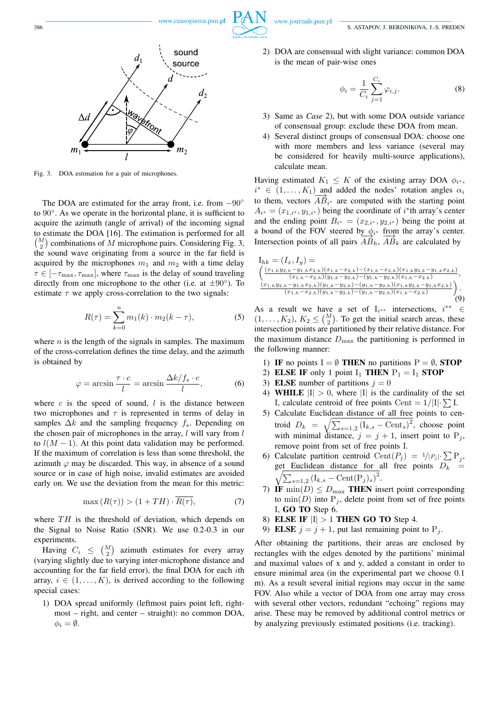

Fig. 3. DOA estimation for a pair of microphones.

The DOA are estimated for the array front, i.e. from  $-90^\circ$ to 90◦ . As we operate in the horizontal plane, it is sufficient to acquire the azimuth (angle of arrival) of the incoming signal to estimate the DOA [16]. The estimation is performed for all  $\binom{M}{2}$  combinations of M microphone pairs. Considering Fig. 3, the sound wave originating from a source in the far field is acquired by the microphones  $m_1$  and  $m_2$  with a time delay  $\tau \in [-\tau_{\text{max}}, \tau_{\text{max}}]$ , where  $\tau_{\text{max}}$  is the delay of sound traveling directly from one microphone to the other (i.e. at  $\pm 90^\circ$ ). To estimate  $\tau$  we apply cross-correlation to the two signals:

$$
R(\tau) = \sum_{k=0}^{n} m_1(k) \cdot m_2(k - \tau),
$$
 (5)

where  $n$  is the length of the signals in samples. The maximum of the cross-correlation defines the time delay, and the azimuth is obtained by

$$
\varphi = \arcsin \frac{\tau \cdot c}{l} = \arcsin \frac{\Delta k / f_s \cdot c}{l},\tag{6}
$$

where  $c$  is the speed of sound,  $l$  is the distance between two microphones and  $\tau$  is represented in terms of delay in samples  $\Delta k$  and the sampling frequency  $f_s$ . Depending on the chosen pair of microphones in the array,  $l$  will vary from  $l$ to  $l(M - 1)$ . At this point data validation may be performed. If the maximum of correlation is less than some threshold, the azimuth  $\varphi$  may be discarded. This way, in absence of a sound source or in case of high noise, invalid estimates are avoided early on. We use the deviation from the mean for this metric:

$$
\max(R(\tau)) > (1 + TH) \cdot \overline{R(\tau)},\tag{7}
$$

where  $TH$  is the threshold of deviation, which depends on the Signal to Noise Ratio (SNR). We use 0.2-0.3 in our experiments.

Having  $C_i \leq \binom{M}{2}$  azimuth estimates for every array (varying slightly due to varying inter-microphone distance and accounting for the far field error), the final DOA for each ith array,  $i \in (1, \ldots, K)$ , is derived according to the following special cases:

1) DOA spread uniformly (leftmost pairs point left, rightmost – right, and center – straight): no common DOA,  $\phi_i = \emptyset$ .

2) DOA are consensual with slight variance: common DOA is the mean of pair-wise ones

$$
\phi_i = \frac{1}{C_i} \sum_{j=1}^{C_i} \varphi_{i,j}.
$$
\n(8)

- 3) Same as *Case* 2), but with some DOA outside variance of consensual group: exclude these DOA from mean.
- 4) Several distinct groups of consensual DOA: choose one with more members and less variance (several may be considered for heavily multi-source applications), calculate mean.

Having estimated  $K_1 \leq K$  of the existing array DOA  $\phi_{i^*}$ ,  $i^* \in (1, \ldots, K_1)$  and added the nodes' rotation angles  $\alpha_i$  $\overline{AB}_{i^*}$  to them, vectors  $\overline{AB}_{i^*}$  are computed with the starting point  $A_{i^*} = (x_{1,i^*}, y_{1,i^*})$  being the coordinate of  $i^*$ th array's center and the ending point  $B_{i^*} = (x_{2,i^*}, y_{2,i^*})$  being the point at a bound of the FOV steered by  $\phi_i^*$  from the array's center. Intersection points of all pairs  $\overrightarrow{AB}_h$ ,  $\overrightarrow{AB}_k$  are calculated by

$$
I_{hk} = (I_x, I_y) =
$$
  
\n
$$
\left( \frac{(x_{1,h}y_{2,h} - y_{1,h}x_{2,h})(x_{1,k} - x_{2,k}) - (x_{1,h} - x_{2,h})(x_{1,k}y_{2,k} - y_{1,k}x_{2,k})}{(x_{1,h} - x_{2,h})(y_{1,k} - y_{2,k}) - (y_{1,h} - y_{2,h})(x_{1,k} - x_{2,k})}, \frac{(x_{1,h}y_{2,h} - y_{1,h}x_{2,h})(y_{1,k} - y_{2,k}) - (y_{1,h} - y_{2,h})(x_{1,k}y_{2,k} - y_{1,k}x_{2,k})}{(x_{1,h} - x_{2,h})(y_{1,k} - y_{2,k}) - (y_{1,h} - y_{2,h})(x_{1,k} - x_{2,k})} \right). \tag{9}
$$

As a result we have a set of  $I_{i^{**}}$  intersections,  $i^{**} \in$  $(1, \ldots, K_2)$ ,  $K_2 \leq {M \choose 2}$ . To get the initial search areas, these intersection points are partitioned by their relative distance. For the maximum distance  $D_{\text{max}}$  the partitioning is performed in the following manner:

- 1) IF no points  $I = \emptyset$  THEN no partitions  $P = \emptyset$ , STOP
- 2) ELSE IF only 1 point  $I_1$  THEN  $P_1 = I_1$  STOP
- 3) ELSE number of partitions  $j = 0$
- 4) WHILE  $|I| > 0$ , where |I| is the cardinality of the set I, calculate centroid of free points Cent =  $1/|I|\cdot \sum I$ .
- 5) Calculate Euclidean distance of all free points to centroid  $D_k = \sqrt{\sum_{s=1,2} (I_{k,s} - \text{Cent}_s)^2}$ , choose point with minimal distance,  $j = j + 1$ , insert point to P<sub>j</sub>, remove point from set of free points I.
- 6) Calculate partition centroid Cent $(P_j) = 1/|P_j| \cdot \sum P_j$  $\frac{1}{2}$ get Euclidean distance for all free points  $D_k$  =  $\sum_{s=1,2} (I_{k,s} - \text{Cent}(P_j)_s)^2$ .
- 7) IF  $\min(D) \leq D_{\max}$  THEN insert point corresponding to  $\min(D)$  into  $P_j$ , delete point from set of free points I, GO TO Step 6.
- 8) ELSE IF  $|I| > 1$  THEN GO TO Step 4.
- 9) ELSE  $j = j + 1$ , put last remaining point to  $P_j$ .

After obtaining the partitions, their areas are enclosed by rectangles with the edges denoted by the partitions' minimal and maximal values of x and y, added a constant in order to ensure minimal area (in the experimental part we choose 0.1 m). As a result several initial regions may occur in the same FOV. Also while a vector of DOA from one array may cross with several other vectors, redundant "echoing" regions may arise. These may be removed by additional control metrics or by analyzing previously estimated positions (i.e. tracking).

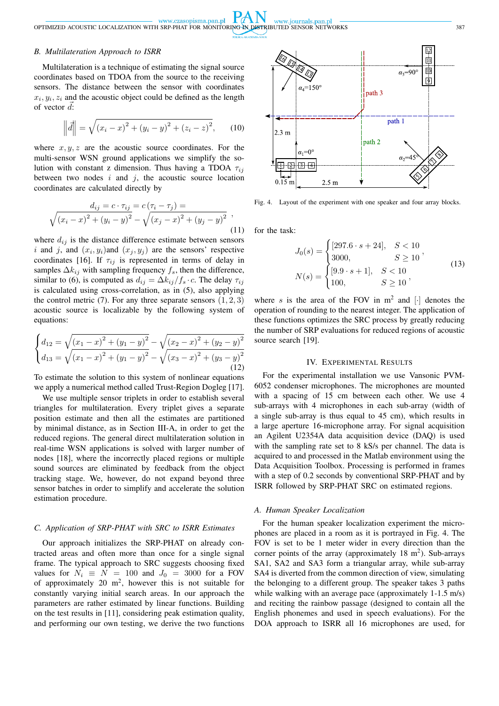#### *B. Multilateration Approach to ISRR*

Multilateration is a technique of estimating the signal source coordinates based on TDOA from the source to the receiving sensors. The distance between the sensor with coordinates  $x_i, y_i, z_i$  and the acoustic object could be defined as the length of vector  $\vec{d}$ :

$$
\left\| \vec{d} \right\| = \sqrt{(x_i - x)^2 + (y_i - y)^2 + (z_i - z)^2}, \qquad (10)
$$

where  $x, y, z$  are the acoustic source coordinates. For the multi-sensor WSN ground applications we simplify the solution with constant z dimension. Thus having a TDOA  $\tau_{ij}$ between two nodes  $i$  and  $j$ , the acoustic source location coordinates are calculated directly by

$$
\frac{d_{ij} = c \cdot \tau_{ij}}{\sqrt{(x_i - x)^2 + (y_i - y)^2} - \sqrt{(x_j - x)^2 + (y_j - y)^2}} ,\tag{11}
$$

where  $d_{ij}$  is the distance difference estimate between sensors i and j, and  $(x_i, y_i)$  and  $(x_j, y_j)$  are the sensors' respective coordinates [16]. If  $\tau_{ij}$  is represented in terms of delay in samples  $\Delta k_{ij}$  with sampling frequency  $f_s$ , then the difference, similar to (6), is computed as  $d_{ij} = \Delta k_{ij}/f_s \cdot c$ . The delay  $\tau_{ij}$ is calculated using cross-correlation, as in (5), also applying the control metric  $(7)$ . For any three separate sensors  $(1, 2, 3)$ acoustic source is localizable by the following system of equations:

$$
\begin{cases} d_{12} = \sqrt{(x_1 - x)^2 + (y_1 - y)^2} - \sqrt{(x_2 - x)^2 + (y_2 - y)^2} \\ d_{13} = \sqrt{(x_1 - x)^2 + (y_1 - y)^2} - \sqrt{(x_3 - x)^2 + (y_3 - y)^2} \\ (12) \end{cases}
$$

To estimate the solution to this system of nonlinear equations we apply a numerical method called Trust-Region Dogleg [17].

We use multiple sensor triplets in order to establish several triangles for multilateration. Every triplet gives a separate position estimate and then all the estimates are partitioned by minimal distance, as in Section III-A, in order to get the reduced regions. The general direct multilateration solution in real-time WSN applications is solved with larger number of nodes [18], where the incorrectly placed regions or multiple sound sources are eliminated by feedback from the object tracking stage. We, however, do not expand beyond three sensor batches in order to simplify and accelerate the solution estimation procedure.

# *C. Application of SRP-PHAT with SRC to ISRR Estimates*

Our approach initializes the SRP-PHAT on already contracted areas and often more than once for a single signal frame. The typical approach to SRC suggests choosing fixed values for  $N_i \equiv N = 100$  and  $J_0 = 3000$  for a FOV of approximately 20  $m^2$ , however this is not suitable for constantly varying initial search areas. In our approach the parameters are rather estimated by linear functions. Building on the test results in [11], considering peak estimation quality, and performing our own testing, we derive the two functions



Fig. 4. Layout of the experiment with one speaker and four array blocks.

for the task:

$$
J_0(s) = \begin{cases} [297.6 \cdot s + 24], & S < 10\\ 3000, & S \ge 10 \end{cases},
$$
\n
$$
N(s) = \begin{cases} [9.9 \cdot s + 1], & S < 10\\ 100, & S \ge 10 \end{cases},
$$
\n
$$
(13)
$$

where s is the area of the FOV in  $m^2$  and  $[\cdot]$  denotes the operation of rounding to the nearest integer. The application of these functions optimizes the SRC process by greatly reducing the number of SRP evaluations for reduced regions of acoustic source search [19].

## IV. EXPERIMENTAL RESULTS

For the experimental installation we use Vansonic PVM-6052 condenser microphones. The microphones are mounted with a spacing of 15 cm between each other. We use 4 sub-arrays with 4 microphones in each sub-array (width of a single sub-array is thus equal to 45 cm), which results in a large aperture 16-microphone array. For signal acquisition an Agilent U2354A data acquisition device (DAQ) is used with the sampling rate set to 8 kS/s per channel. The data is acquired to and processed in the Matlab environment using the Data Acquisition Toolbox. Processing is performed in frames with a step of 0.2 seconds by conventional SRP-PHAT and by ISRR followed by SRP-PHAT SRC on estimated regions.

# *A. Human Speaker Localization*

For the human speaker localization experiment the microphones are placed in a room as it is portrayed in Fig. 4. The FOV is set to be 1 meter wider in every direction than the corner points of the array (approximately  $18 \text{ m}^2$ ). Sub-arrays SA1, SA2 and SA3 form a triangular array, while sub-array SA4 is diverted from the common direction of view, simulating the belonging to a different group. The speaker takes 3 paths while walking with an average pace (approximately 1-1.5 m/s) and reciting the rainbow passage (designed to contain all the English phonemes and used in speech evaluations). For the DOA approach to ISRR all 16 microphones are used, for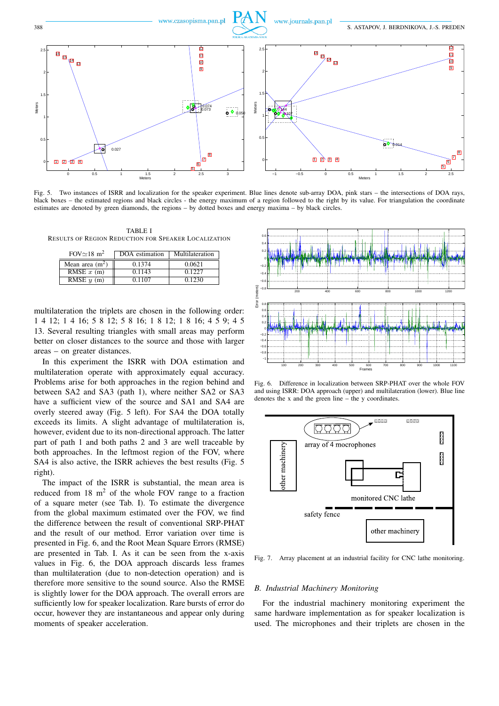

Fig. 5. Two instances of ISRR and localization for the speaker experiment. Blue lines denote sub-array DOA, pink stars – the intersections of DOA rays, black boxes – the estimated regions and black circles - the energy maximum of a region followed to the right by its value. For triangulation the coordinate estimates are denoted by green diamonds, the regions – by dotted boxes and energy maxima – by black circles.

TABLE I RESULTS OF REGION REDUCTION FOR SPEAKER LOCALIZATION

| $FOV \simeq 18 \text{ m}^2$ | DOA estimation | Multilateration |
|-----------------------------|----------------|-----------------|
| Mean area $(m2)$            | 0.1374         | 0.0621          |
| RMSE $x$ (m)                | 0.1143         | 0.1227          |
| RMSE $y(m)$                 | 0.1107         | 0.1230          |

multilateration the triplets are chosen in the following order: 1 4 12; 1 4 16; 5 8 12; 5 8 16; 1 8 12; 1 8 16; 4 5 9; 4 5 13. Several resulting triangles with small areas may perform better on closer distances to the source and those with larger areas – on greater distances.

In this experiment the ISRR with DOA estimation and multilateration operate with approximately equal accuracy. Problems arise for both approaches in the region behind and between SA2 and SA3 (path 1), where neither SA2 or SA3 have a sufficient view of the source and SA1 and SA4 are overly steered away (Fig. 5 left). For SA4 the DOA totally exceeds its limits. A slight advantage of multilateration is, however, evident due to its non-directional approach. The latter part of path 1 and both paths 2 and 3 are well traceable by both approaches. In the leftmost region of the FOV, where SA4 is also active, the ISRR achieves the best results (Fig. 5 right).

The impact of the ISRR is substantial, the mean area is reduced from  $18 \text{ m}^2$  of the whole FOV range to a fraction of a square meter (see Tab. I). To estimate the divergence from the global maximum estimated over the FOV, we find the difference between the result of conventional SRP-PHAT and the result of our method. Error variation over time is presented in Fig. 6, and the Root Mean Square Errors (RMSE) are presented in Tab. I. As it can be seen from the x-axis values in Fig. 6, the DOA approach discards less frames than multilateration (due to non-detection operation) and is therefore more sensitive to the sound source. Also the RMSE is slightly lower for the DOA approach. The overall errors are sufficiently low for speaker localization. Rare bursts of error do occur, however they are instantaneous and appear only during moments of speaker acceleration.



Fig. 6. Difference in localization between SRP-PHAT over the whole FOV and using ISRR: DOA approach (upper) and multilateration (lower). Blue line denotes the x and the green line – the y coordinates.



Fig. 7. Array placement at an industrial facility for CNC lathe monitoring.

#### *B. Industrial Machinery Monitoring*

For the industrial machinery monitoring experiment the same hardware implementation as for speaker localization is used. The microphones and their triplets are chosen in the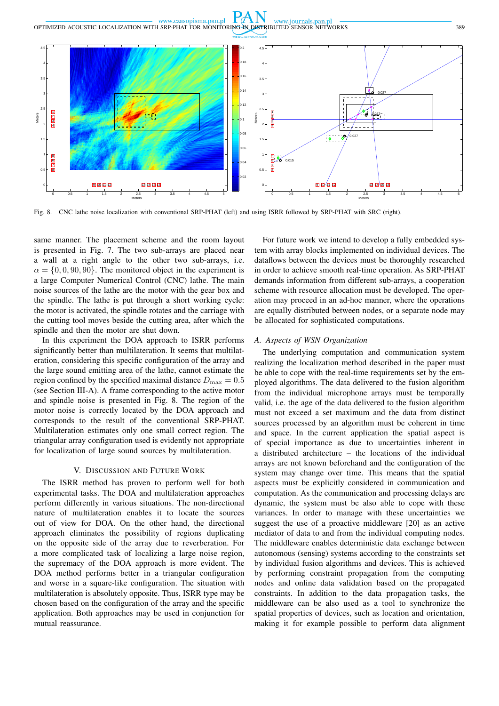

Fig. 8. CNC lathe noise localization with conventional SRP-PHAT (left) and using ISRR followed by SRP-PHAT with SRC (right).

same manner. The placement scheme and the room layout is presented in Fig. 7. The two sub-arrays are placed near a wall at a right angle to the other two sub-arrays, i.e.  $\alpha = \{0, 0, 90, 90\}$ . The monitored object in the experiment is a large Computer Numerical Control (CNC) lathe. The main noise sources of the lathe are the motor with the gear box and the spindle. The lathe is put through a short working cycle: the motor is activated, the spindle rotates and the carriage with the cutting tool moves beside the cutting area, after which the spindle and then the motor are shut down.

In this experiment the DOA approach to ISRR performs significantly better than multilateration. It seems that multilateration, considering this specific configuration of the array and the large sound emitting area of the lathe, cannot estimate the region confined by the specified maximal distance  $D_{\text{max}} = 0.5$ (see Section III-A). A frame corresponding to the active motor and spindle noise is presented in Fig. 8. The region of the motor noise is correctly located by the DOA approach and corresponds to the result of the conventional SRP-PHAT. Multilateration estimates only one small correct region. The triangular array configuration used is evidently not appropriate for localization of large sound sources by multilateration.

## V. DISCUSSION AND FUTURE WORK

The ISRR method has proven to perform well for both experimental tasks. The DOA and multilateration approaches perform differently in various situations. The non-directional nature of multilateration enables it to locate the sources out of view for DOA. On the other hand, the directional approach eliminates the possibility of regions duplicating on the opposite side of the array due to reverberation. For a more complicated task of localizing a large noise region, the supremacy of the DOA approach is more evident. The DOA method performs better in a triangular configuration and worse in a square-like configuration. The situation with multilateration is absolutely opposite. Thus, ISRR type may be chosen based on the configuration of the array and the specific application. Both approaches may be used in conjunction for mutual reassurance.

For future work we intend to develop a fully embedded system with array blocks implemented on individual devices. The dataflows between the devices must be thoroughly researched in order to achieve smooth real-time operation. As SRP-PHAT demands information from different sub-arrays, a cooperation scheme with resource allocation must be developed. The operation may proceed in an ad-hoc manner, where the operations are equally distributed between nodes, or a separate node may be allocated for sophisticated computations.

## *A. Aspects of WSN Organization*

The underlying computation and communication system realizing the localization method described in the paper must be able to cope with the real-time requirements set by the employed algorithms. The data delivered to the fusion algorithm from the individual microphone arrays must be temporally valid, i.e. the age of the data delivered to the fusion algorithm must not exceed a set maximum and the data from distinct sources processed by an algorithm must be coherent in time and space. In the current application the spatial aspect is of special importance as due to uncertainties inherent in a distributed architecture – the locations of the individual arrays are not known beforehand and the configuration of the system may change over time. This means that the spatial aspects must be explicitly considered in communication and computation. As the communication and processing delays are dynamic, the system must be also able to cope with these variances. In order to manage with these uncertainties we suggest the use of a proactive middleware [20] as an active mediator of data to and from the individual computing nodes. The middleware enables deterministic data exchange between autonomous (sensing) systems according to the constraints set by individual fusion algorithms and devices. This is achieved by performing constraint propagation from the computing nodes and online data validation based on the propagated constraints. In addition to the data propagation tasks, the middleware can be also used as a tool to synchronize the spatial properties of devices, such as location and orientation, making it for example possible to perform data alignment